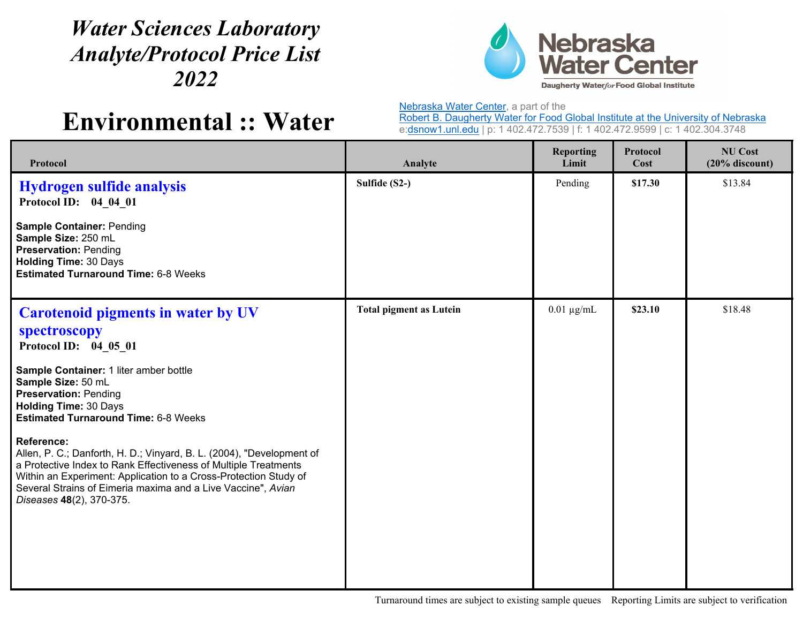## *Water Sciences Laboratory Analyte/Protocol Price List 2022*



**Environmental :: Water**

Nebraska Water Center, a part of the

Robert B. Daugherty Water for Food Global Institute at the University of Nebraska e:dsnow1.unl.edu | p: 1 402.472.7539 | f: 1 402.472.9599 | c: 1 402.304.3748

| Protocol                                                                                                                                                                                                                                                                                                                                                                                                                                                                                                                                                                                           | Analyte                        | <b>Reporting</b><br>Limit | Protocol<br>Cost | <b>NU Cost</b><br>$(20%$ discount) |
|----------------------------------------------------------------------------------------------------------------------------------------------------------------------------------------------------------------------------------------------------------------------------------------------------------------------------------------------------------------------------------------------------------------------------------------------------------------------------------------------------------------------------------------------------------------------------------------------------|--------------------------------|---------------------------|------------------|------------------------------------|
| <b>Hydrogen sulfide analysis</b><br>Protocol ID: 04_04_01<br><b>Sample Container: Pending</b><br>Sample Size: 250 mL<br><b>Preservation: Pending</b><br><b>Holding Time: 30 Days</b><br><b>Estimated Turnaround Time: 6-8 Weeks</b>                                                                                                                                                                                                                                                                                                                                                                | Sulfide (S2-)                  | Pending                   | \$17.30          | \$13.84                            |
| <b>Carotenoid pigments in water by UV</b><br>spectroscopy<br>Protocol ID: 04 05 01<br>Sample Container: 1 liter amber bottle<br>Sample Size: 50 mL<br><b>Preservation: Pending</b><br><b>Holding Time: 30 Days</b><br><b>Estimated Turnaround Time: 6-8 Weeks</b><br><b>Reference:</b><br>Allen, P. C.; Danforth, H. D.; Vinyard, B. L. (2004), "Development of<br>a Protective Index to Rank Effectiveness of Multiple Treatments<br>Within an Experiment: Application to a Cross-Protection Study of<br>Several Strains of Eimeria maxima and a Live Vaccine", Avian<br>Diseases 48(2), 370-375. | <b>Total pigment as Lutein</b> | $0.01 \mu g/mL$           | \$23.10          | \$18.48                            |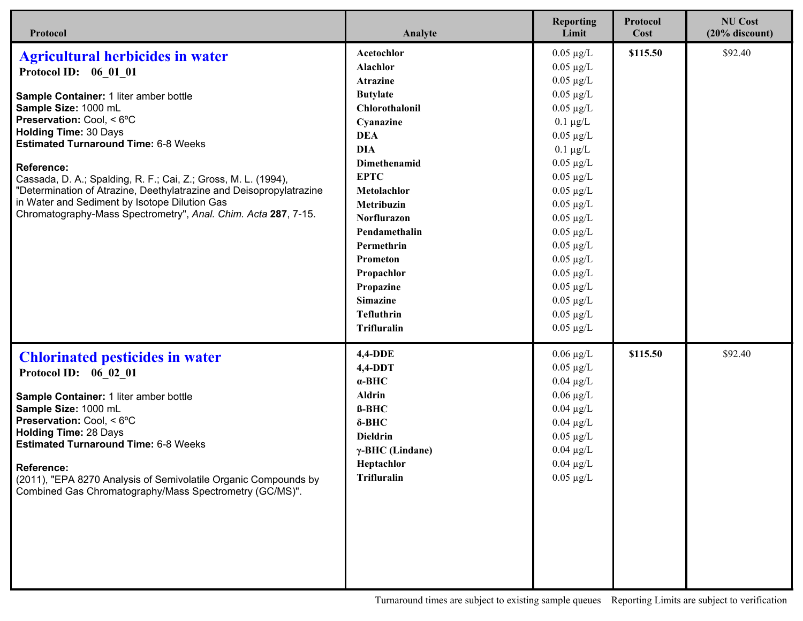| Protocol                                                                                                                                                                                                                                                                                                                                                                                                                                                                                                                        | Analyte                                                                                                                                                                                                                                                                                                                                | <b>Reporting</b><br>Limit                                                                                                                                                                                                                                                                                                                                                            | <b>Protocol</b><br>Cost | <b>NU Cost</b><br>$(20%$ discount) |
|---------------------------------------------------------------------------------------------------------------------------------------------------------------------------------------------------------------------------------------------------------------------------------------------------------------------------------------------------------------------------------------------------------------------------------------------------------------------------------------------------------------------------------|----------------------------------------------------------------------------------------------------------------------------------------------------------------------------------------------------------------------------------------------------------------------------------------------------------------------------------------|--------------------------------------------------------------------------------------------------------------------------------------------------------------------------------------------------------------------------------------------------------------------------------------------------------------------------------------------------------------------------------------|-------------------------|------------------------------------|
| <b>Agricultural herbicides in water</b><br>Protocol ID: 06 01 01<br>Sample Container: 1 liter amber bottle<br>Sample Size: 1000 mL<br>Preservation: Cool, < 6°C<br><b>Holding Time: 30 Days</b><br><b>Estimated Turnaround Time: 6-8 Weeks</b><br><b>Reference:</b><br>Cassada, D. A.; Spalding, R. F.; Cai, Z.; Gross, M. L. (1994),<br>"Determination of Atrazine, Deethylatrazine and Deisopropylatrazine<br>in Water and Sediment by Isotope Dilution Gas<br>Chromatography-Mass Spectrometry", Anal. Chim. Acta 287, 7-15. | Acetochlor<br>Alachlor<br><b>Atrazine</b><br><b>Butylate</b><br>Chlorothalonil<br>Cyanazine<br><b>DEA</b><br><b>DIA</b><br>Dimethenamid<br><b>EPTC</b><br>Metolachlor<br>Metribuzin<br>Norflurazon<br>Pendamethalin<br>Permethrin<br>Prometon<br>Propachlor<br>Propazine<br><b>Simazine</b><br><b>Tefluthrin</b><br><b>Trifluralin</b> | $0.05 \mu g/L$<br>$0.05 \mu g/L$<br>$0.05 \mu g/L$<br>$0.05 \mu g/L$<br>$0.05 \mu g/L$<br>$0.1 \mu g/L$<br>$0.05 \mu g/L$<br>$0.1 \mu g/L$<br>$0.05 \mu g/L$<br>$0.05 \mu g/L$<br>$0.05 \mu g/L$<br>$0.05 \mu g/L$<br>$0.05 \mu g/L$<br>$0.05 \mu g/L$<br>$0.05 \mu g/L$<br>$0.05 \mu g/L$<br>$0.05 \mu g/L$<br>$0.05 \mu g/L$<br>$0.05 \mu g/L$<br>$0.05 \mu g/L$<br>$0.05 \mu g/L$ | \$115.50                | \$92.40                            |
| <b>Chlorinated pesticides in water</b><br>Protocol ID: 06 02 01<br>Sample Container: 1 liter amber bottle<br>Sample Size: 1000 mL<br>Preservation: Cool, < 6°C<br><b>Holding Time: 28 Days</b><br><b>Estimated Turnaround Time: 6-8 Weeks</b><br>Reference:<br>(2011), "EPA 8270 Analysis of Semivolatile Organic Compounds by<br>Combined Gas Chromatography/Mass Spectrometry (GC/MS)".                                                                                                                                       | <b>4,4-DDE</b><br>$4,4-DDT$<br>$\alpha$ -BHC<br><b>Aldrin</b><br>$B-BHC$<br>$\delta$ -BHC<br><b>Dieldrin</b><br>$\gamma$ -BHC (Lindane)<br><b>Heptachlor</b><br><b>Trifluralin</b>                                                                                                                                                     | $0.06 \mu g/L$<br>$0.05 \mu g/L$<br>$0.04 \mu g/L$<br>$0.06 \mu g/L$<br>$0.04 \mu g/L$<br>$0.04 \mu g/L$<br>$0.05 \mu g/L$<br>$0.04 \mu g/L$<br>$0.04 \ \mu g/L$<br>$0.05 \mu g/L$                                                                                                                                                                                                   | \$115.50                | \$92.40                            |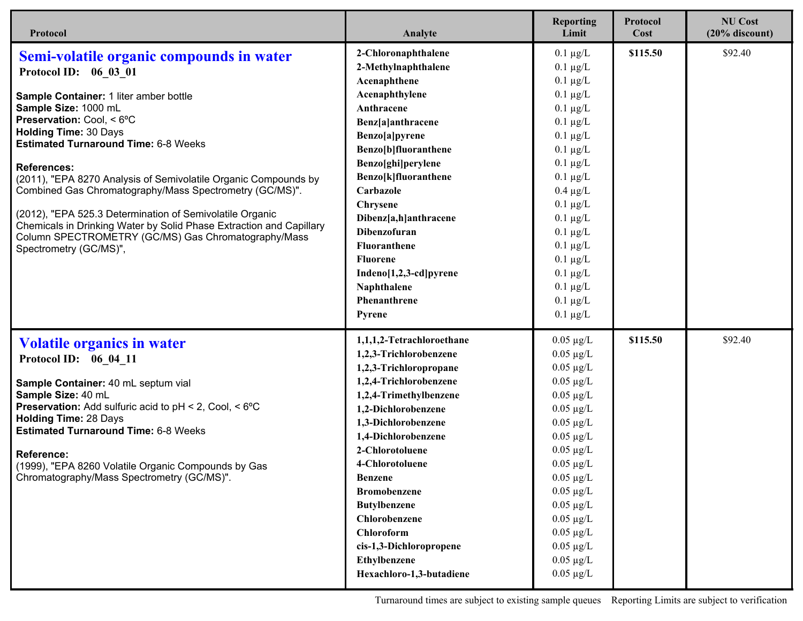| Protocol                                                                                                                   | Analyte                   | <b>Reporting</b><br>Limit | Protocol<br>Cost | <b>NU Cost</b><br>$(20%$ discount) |
|----------------------------------------------------------------------------------------------------------------------------|---------------------------|---------------------------|------------------|------------------------------------|
| Semi-volatile organic compounds in water                                                                                   | 2-Chloronaphthalene       | $0.1 \mu g/L$             | \$115.50         | \$92.40                            |
| Protocol ID: 06 03 01                                                                                                      | 2-Methylnaphthalene       | $0.1 \mu g/L$             |                  |                                    |
|                                                                                                                            | Acenaphthene              | $0.1 \mu g/L$             |                  |                                    |
| Sample Container: 1 liter amber bottle                                                                                     | Acenaphthylene            | $0.1 \mu g/L$             |                  |                                    |
| Sample Size: 1000 mL                                                                                                       | Anthracene                | $0.1 \mu g/L$             |                  |                                    |
| Preservation: Cool, < 6°C                                                                                                  | Benz[a]anthracene         | $0.1 \mu g/L$             |                  |                                    |
| <b>Holding Time: 30 Days</b>                                                                                               | Benzo[a]pyrene            | $0.1 \mu g/L$             |                  |                                    |
| <b>Estimated Turnaround Time: 6-8 Weeks</b>                                                                                | Benzo[b]fluoranthene      | $0.1 \mu g/L$             |                  |                                    |
| <b>References:</b>                                                                                                         | Benzo[ghi]perylene        | $0.1 \mu g/L$             |                  |                                    |
| (2011), "EPA 8270 Analysis of Semivolatile Organic Compounds by                                                            | Benzo[k]fluoranthene      | $0.1 \mu g/L$             |                  |                                    |
| Combined Gas Chromatography/Mass Spectrometry (GC/MS)".                                                                    | Carbazole                 | $0.4 \mu g/L$             |                  |                                    |
|                                                                                                                            | <b>Chrysene</b>           | $0.1 \mu g/L$             |                  |                                    |
| (2012), "EPA 525.3 Determination of Semivolatile Organic                                                                   | Dibenz[a,h]anthracene     | $0.1 \mu g/L$             |                  |                                    |
| Chemicals in Drinking Water by Solid Phase Extraction and Capillary<br>Column SPECTROMETRY (GC/MS) Gas Chromatography/Mass | <b>Dibenzofuran</b>       | $0.1 \mu g/L$             |                  |                                    |
| Spectrometry (GC/MS)",                                                                                                     | <b>Fluoranthene</b>       | $0.1 \mu g/L$             |                  |                                    |
|                                                                                                                            | <b>Fluorene</b>           | $0.1 \mu g/L$             |                  |                                    |
|                                                                                                                            | Indeno[1,2,3-cd]pyrene    | $0.1 \mu g/L$             |                  |                                    |
|                                                                                                                            | Naphthalene               | $0.1 \mu g/L$             |                  |                                    |
|                                                                                                                            | Phenanthrene              | $0.1 \mu g/L$             |                  |                                    |
|                                                                                                                            | <b>Pyrene</b>             | $0.1 \mu g/L$             |                  |                                    |
| <b>Volatile organics in water</b>                                                                                          | 1,1,1,2-Tetrachloroethane | $0.05 \mu g/L$            | \$115.50         | \$92.40                            |
| Protocol ID: 06 04 11                                                                                                      | 1,2,3-Trichlorobenzene    | $0.05 \mu g/L$            |                  |                                    |
|                                                                                                                            | 1,2,3-Trichloropropane    | $0.05 \mu g/L$            |                  |                                    |
| Sample Container: 40 mL septum vial                                                                                        | 1,2,4-Trichlorobenzene    | $0.05 \mu g/L$            |                  |                                    |
| Sample Size: 40 mL                                                                                                         | 1,2,4-Trimethylbenzene    | $0.05 \mu g/L$            |                  |                                    |
| <b>Preservation:</b> Add sulfuric acid to $pH < 2$ , Cool, $< 6^{\circ}C$                                                  | 1,2-Dichlorobenzene       | $0.05 \mu g/L$            |                  |                                    |
| <b>Holding Time: 28 Days</b><br><b>Estimated Turnaround Time: 6-8 Weeks</b>                                                | 1,3-Dichlorobenzene       | $0.05 \mu g/L$            |                  |                                    |
|                                                                                                                            | 1,4-Dichlorobenzene       | $0.05 \mu g/L$            |                  |                                    |
| Reference:                                                                                                                 | 2-Chlorotoluene           | $0.05 \mu g/L$            |                  |                                    |
| (1999), "EPA 8260 Volatile Organic Compounds by Gas                                                                        | 4-Chlorotoluene           | $0.05 \mu g/L$            |                  |                                    |
| Chromatography/Mass Spectrometry (GC/MS)".                                                                                 | <b>Benzene</b>            | $0.05 \mu g/L$            |                  |                                    |
|                                                                                                                            | <b>Bromobenzene</b>       | $0.05 \mu g/L$            |                  |                                    |
|                                                                                                                            | <b>Butylbenzene</b>       | $0.05 \mu g/L$            |                  |                                    |
|                                                                                                                            | Chlorobenzene             | $0.05 \mu g/L$            |                  |                                    |
|                                                                                                                            | Chloroform                | $0.05 \mu g/L$            |                  |                                    |
|                                                                                                                            | cis-1,3-Dichloropropene   | $0.05 \mu g/L$            |                  |                                    |
|                                                                                                                            | Ethylbenzene              | $0.05 \mu g/L$            |                  |                                    |
|                                                                                                                            | Hexachloro-1,3-butadiene  | $0.05 \mu g/L$            |                  |                                    |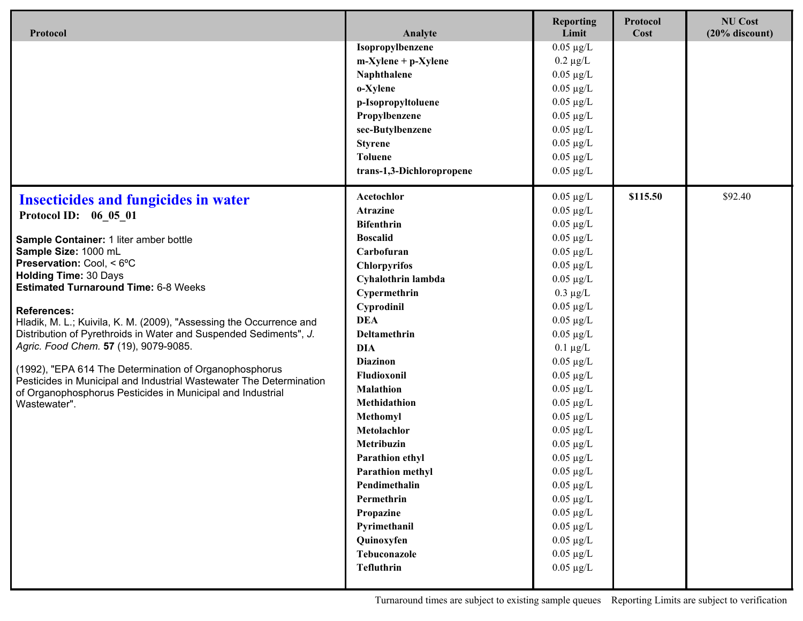| Protocol                                                                                                                                                                                    | Analyte                   | <b>Reporting</b><br>Limit   | Protocol<br>Cost | <b>NU Cost</b><br>$(20%$ discount) |
|---------------------------------------------------------------------------------------------------------------------------------------------------------------------------------------------|---------------------------|-----------------------------|------------------|------------------------------------|
|                                                                                                                                                                                             | Isopropylbenzene          | $0.05 \mu g/L$              |                  |                                    |
|                                                                                                                                                                                             | $m-X$ ylene + p-Xylene    | $0.2 \mu g/L$               |                  |                                    |
|                                                                                                                                                                                             | Naphthalene               | $0.05~\mu\text{g}/\text{L}$ |                  |                                    |
|                                                                                                                                                                                             | o-Xylene                  | $0.05 \mu g/L$              |                  |                                    |
|                                                                                                                                                                                             | p-Isopropyltoluene        | $0.05 \mu g/L$              |                  |                                    |
|                                                                                                                                                                                             | Propylbenzene             | $0.05 \mu g/L$              |                  |                                    |
|                                                                                                                                                                                             | sec-Butylbenzene          | $0.05 \mu g/L$              |                  |                                    |
|                                                                                                                                                                                             | <b>Styrene</b>            | $0.05 \mu g/L$              |                  |                                    |
|                                                                                                                                                                                             | <b>Toluene</b>            | $0.05 \mu g/L$              |                  |                                    |
|                                                                                                                                                                                             | trans-1,3-Dichloropropene | $0.05 \mu g/L$              |                  |                                    |
| <b>Insecticides and fungicides in water</b>                                                                                                                                                 | Acetochlor                | $0.05 \mu g/L$              | \$115.50         | \$92.40                            |
| Protocol ID: 06 05 01                                                                                                                                                                       | <b>Atrazine</b>           | $0.05 \mu g/L$              |                  |                                    |
|                                                                                                                                                                                             | <b>Bifenthrin</b>         | $0.05 \mu g/L$              |                  |                                    |
| Sample Container: 1 liter amber bottle                                                                                                                                                      | <b>Boscalid</b>           | $0.05 \mu g/L$              |                  |                                    |
| Sample Size: 1000 mL                                                                                                                                                                        | Carbofuran                | $0.05 \mu g/L$              |                  |                                    |
| Preservation: Cool, < 6°C                                                                                                                                                                   | <b>Chlorpyrifos</b>       | $0.05 \mu g/L$              |                  |                                    |
| <b>Holding Time: 30 Days</b><br><b>Estimated Turnaround Time: 6-8 Weeks</b>                                                                                                                 | Cyhalothrin lambda        | $0.05 \mu g/L$              |                  |                                    |
|                                                                                                                                                                                             | Cypermethrin              | $0.3 \mu g/L$               |                  |                                    |
| <b>References:</b>                                                                                                                                                                          | Cyprodinil                | $0.05 \mu g/L$              |                  |                                    |
| Hladik, M. L.; Kuivila, K. M. (2009), "Assessing the Occurrence and                                                                                                                         | <b>DEA</b>                | $0.05 \mu g/L$              |                  |                                    |
| Distribution of Pyrethroids in Water and Suspended Sediments", J.                                                                                                                           | Deltamethrin              | $0.05 \mu g/L$              |                  |                                    |
| Agric. Food Chem. 57 (19), 9079-9085.                                                                                                                                                       | <b>DIA</b>                | $0.1 \mu g/L$               |                  |                                    |
| (1992), "EPA 614 The Determination of Organophosphorus<br>Pesticides in Municipal and Industrial Wastewater The Determination<br>of Organophosphorus Pesticides in Municipal and Industrial | <b>Diazinon</b>           | $0.05 \mu g/L$              |                  |                                    |
|                                                                                                                                                                                             | Fludioxonil               | $0.05 \mu g/L$              |                  |                                    |
|                                                                                                                                                                                             | <b>Malathion</b>          | $0.05 \mu g/L$              |                  |                                    |
| Wastewater".                                                                                                                                                                                | Methidathion              | $0.05 \mu g/L$              |                  |                                    |
|                                                                                                                                                                                             | Methomyl                  | $0.05 \mu g/L$              |                  |                                    |
|                                                                                                                                                                                             | Metolachlor               | $0.05 \mu g/L$              |                  |                                    |
|                                                                                                                                                                                             | Metribuzin                | $0.05 \mu g/L$              |                  |                                    |
|                                                                                                                                                                                             | Parathion ethyl           | $0.05 \mu g/L$              |                  |                                    |
|                                                                                                                                                                                             | Parathion methyl          | $0.05 \mu g/L$              |                  |                                    |
|                                                                                                                                                                                             | Pendimethalin             | $0.05 \ \mu g/L$            |                  |                                    |
|                                                                                                                                                                                             | Permethrin                | $0.05 \mu g/L$              |                  |                                    |
|                                                                                                                                                                                             | Propazine                 | $0.05 \mu g/L$              |                  |                                    |
|                                                                                                                                                                                             | Pyrimethanil              | $0.05 \mu g/L$              |                  |                                    |
|                                                                                                                                                                                             | Quinoxyfen                | $0.05 \mu g/L$              |                  |                                    |
|                                                                                                                                                                                             | Tebuconazole              | $0.05~\mu\text{g}/\text{L}$ |                  |                                    |
|                                                                                                                                                                                             | <b>Tefluthrin</b>         | $0.05 \mu g/L$              |                  |                                    |
|                                                                                                                                                                                             |                           |                             |                  |                                    |

Turnaround times are subject to existing sample queues Reporting Limits are subject to verification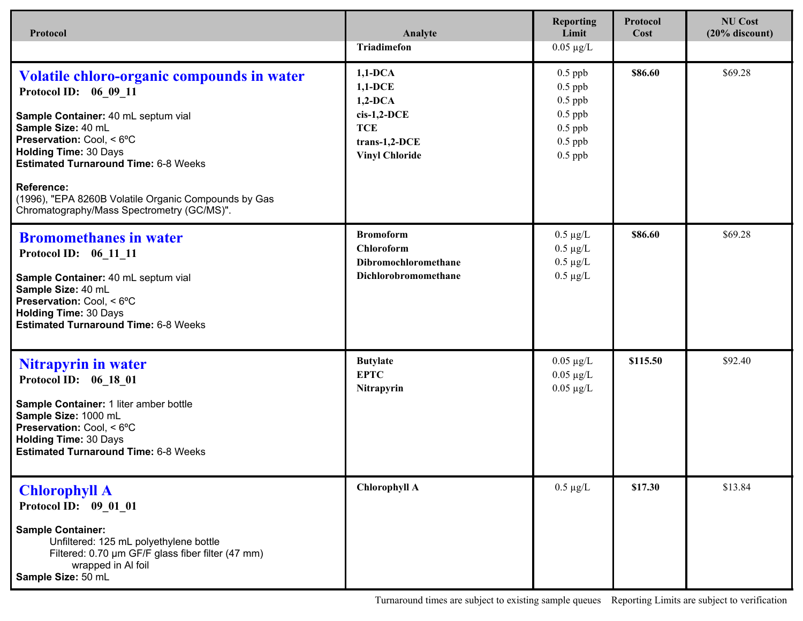| Protocol                                                                                                                                                                                                                                     | Analyte                                                                                                        | <b>Reporting</b><br>Limit                                                               | Protocol<br>Cost | <b>NU Cost</b><br>$(20%$ discount) |
|----------------------------------------------------------------------------------------------------------------------------------------------------------------------------------------------------------------------------------------------|----------------------------------------------------------------------------------------------------------------|-----------------------------------------------------------------------------------------|------------------|------------------------------------|
|                                                                                                                                                                                                                                              | <b>Triadimefon</b>                                                                                             | $0.05 \mu g/L$                                                                          |                  |                                    |
| Volatile chloro-organic compounds in water<br>Protocol ID: 06 09 11<br>Sample Container: 40 mL septum vial<br>Sample Size: 40 mL<br>Preservation: Cool, < 6°C<br><b>Holding Time: 30 Days</b><br><b>Estimated Turnaround Time: 6-8 Weeks</b> | $1,1-DCA$<br>$1,1-DCE$<br>$1,2-DCA$<br>$cis-1,2-DCE$<br><b>TCE</b><br>$trans-1,2-DCE$<br><b>Vinyl Chloride</b> | $0.5$ ppb<br>$0.5$ ppb<br>$0.5$ ppb<br>$0.5$ ppb<br>$0.5$ ppb<br>$0.5$ ppb<br>$0.5$ ppb | \$86.60          | \$69.28                            |
| <b>Reference:</b><br>(1996), "EPA 8260B Volatile Organic Compounds by Gas<br>Chromatography/Mass Spectrometry (GC/MS)".                                                                                                                      |                                                                                                                |                                                                                         |                  |                                    |
| <b>Bromomethanes in water</b><br>Protocol ID: 06 11 11<br>Sample Container: 40 mL septum vial<br>Sample Size: 40 mL<br>Preservation: Cool, < 6°C<br><b>Holding Time: 30 Days</b><br><b>Estimated Turnaround Time: 6-8 Weeks</b>              | <b>Bromoform</b><br><b>Chloroform</b><br>Dibromochloromethane<br>Dichlorobromomethane                          | $0.5 \mu g/L$<br>$0.5 \mu g/L$<br>$0.5 \mu g/L$<br>$0.5 \mu g/L$                        | \$86.60          | \$69.28                            |
| <b>Nitrapyrin in water</b><br>Protocol ID: 06 18 01<br>Sample Container: 1 liter amber bottle<br>Sample Size: 1000 mL<br>Preservation: Cool, < 6°C<br><b>Holding Time: 30 Days</b><br><b>Estimated Turnaround Time: 6-8 Weeks</b>            | <b>Butylate</b><br><b>EPTC</b><br>Nitrapyrin                                                                   | $0.05 \mu g/L$<br>$0.05 \mu g/L$<br>$0.05 \mu g/L$                                      | \$115.50         | \$92.40                            |
| <b>Chlorophyll A</b><br>Protocol ID: 09 01 01<br><b>Sample Container:</b><br>Unfiltered: 125 mL polyethylene bottle<br>Filtered: 0.70 µm GF/F glass fiber filter (47 mm)<br>wrapped in Al foil<br>Sample Size: 50 mL                         | <b>Chlorophyll A</b>                                                                                           | $0.5~\mu g/L$                                                                           | \$17.30          | \$13.84                            |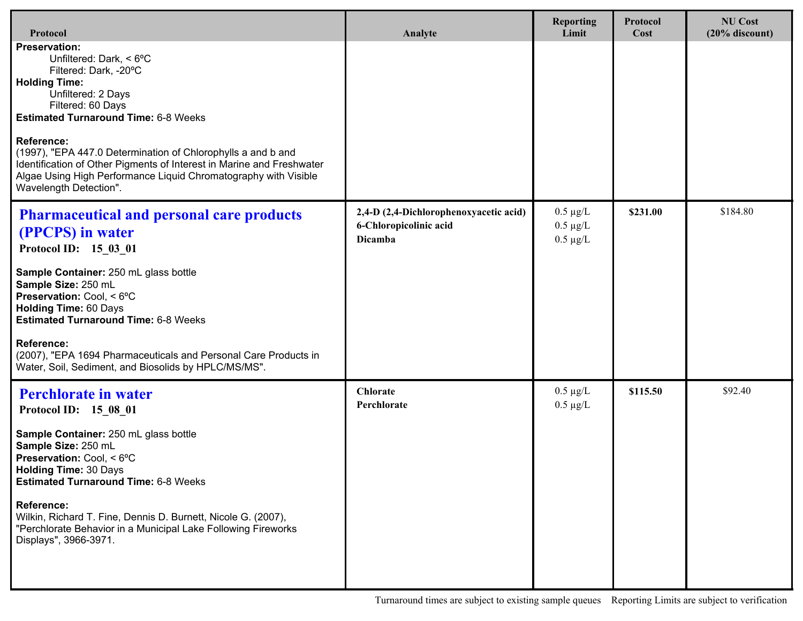| Protocol                                                                                                                                                                                                                                                                                                                                                                                                                                              | Analyte                                                                            | <b>Reporting</b><br>Limit                       | Protocol<br>Cost | <b>NU Cost</b><br>$(20%$ discount) |
|-------------------------------------------------------------------------------------------------------------------------------------------------------------------------------------------------------------------------------------------------------------------------------------------------------------------------------------------------------------------------------------------------------------------------------------------------------|------------------------------------------------------------------------------------|-------------------------------------------------|------------------|------------------------------------|
| <b>Preservation:</b><br>Unfiltered: Dark, < 6°C<br>Filtered: Dark, -20°C<br><b>Holding Time:</b><br>Unfiltered: 2 Days<br>Filtered: 60 Days<br><b>Estimated Turnaround Time: 6-8 Weeks</b><br><b>Reference:</b><br>(1997), "EPA 447.0 Determination of Chlorophylls a and b and<br>Identification of Other Pigments of Interest in Marine and Freshwater<br>Algae Using High Performance Liquid Chromatography with Visible<br>Wavelength Detection". |                                                                                    |                                                 |                  |                                    |
| <b>Pharmaceutical and personal care products</b><br>(PPCPS) in water<br>Protocol ID: 15 03 01<br>Sample Container: 250 mL glass bottle<br>Sample Size: 250 mL<br>Preservation: Cool, < 6°C<br><b>Holding Time: 60 Days</b><br><b>Estimated Turnaround Time: 6-8 Weeks</b><br><b>Reference:</b><br>(2007), "EPA 1694 Pharmaceuticals and Personal Care Products in<br>Water, Soil, Sediment, and Biosolids by HPLC/MS/MS".                             | 2,4-D (2,4-Dichlorophenoxyacetic acid)<br>6-Chloropicolinic acid<br><b>Dicamba</b> | $0.5 \mu g/L$<br>$0.5 \mu g/L$<br>$0.5 \mu g/L$ | \$231.00         | \$184.80                           |
| <b>Perchlorate in water</b><br>Protocol ID: 15 08 01<br>Sample Container: 250 mL glass bottle<br>Sample Size: 250 mL<br>Preservation: Cool, < 6°C<br><b>Holding Time: 30 Days</b><br><b>Estimated Turnaround Time: 6-8 Weeks</b><br><b>Reference:</b><br>Wilkin, Richard T. Fine, Dennis D. Burnett, Nicole G. (2007),<br>"Perchlorate Behavior in a Municipal Lake Following Fireworks<br>Displays", 3966-3971.                                      | <b>Chlorate</b><br>Perchlorate                                                     | $0.5 \mu g/L$<br>$0.5 \mu g/L$                  | \$115.50         | \$92.40                            |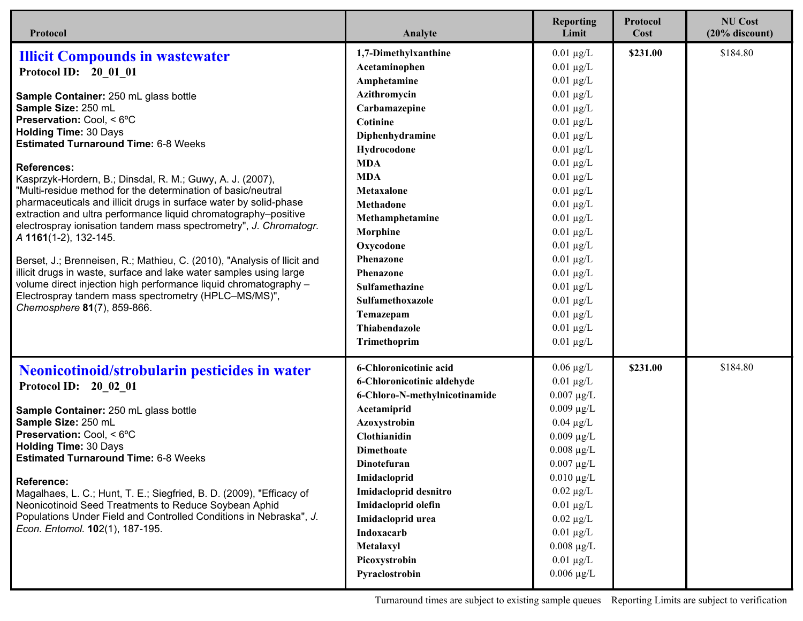| Protocol                                                                                                                                                                                                                                                                                                                                                                                                                                                                                                                                                                                                                                                                                                                                                                                                                                                                                                                                         | Analyte                                                                                                                                                                                                                                                                                                                                                     | <b>Reporting</b><br>Limit                                                                                                                                                                                                                                                                                                                                                                                | <b>Protocol</b><br>Cost | <b>NU Cost</b><br>$(20%$ discount) |
|--------------------------------------------------------------------------------------------------------------------------------------------------------------------------------------------------------------------------------------------------------------------------------------------------------------------------------------------------------------------------------------------------------------------------------------------------------------------------------------------------------------------------------------------------------------------------------------------------------------------------------------------------------------------------------------------------------------------------------------------------------------------------------------------------------------------------------------------------------------------------------------------------------------------------------------------------|-------------------------------------------------------------------------------------------------------------------------------------------------------------------------------------------------------------------------------------------------------------------------------------------------------------------------------------------------------------|----------------------------------------------------------------------------------------------------------------------------------------------------------------------------------------------------------------------------------------------------------------------------------------------------------------------------------------------------------------------------------------------------------|-------------------------|------------------------------------|
| <b>Illicit Compounds in wastewater</b><br>Protocol ID: 20 01 01<br>Sample Container: 250 mL glass bottle<br>Sample Size: 250 mL<br>Preservation: Cool, < 6°C<br><b>Holding Time: 30 Days</b><br><b>Estimated Turnaround Time: 6-8 Weeks</b><br><b>References:</b><br>Kasprzyk-Hordern, B.; Dinsdal, R. M.; Guwy, A. J. (2007),<br>'Multi-residue method for the determination of basic/neutral<br>pharmaceuticals and illicit drugs in surface water by solid-phase<br>extraction and ultra performance liquid chromatography-positive<br>electrospray ionisation tandem mass spectrometry", J. Chromatogr.<br>A 1161(1-2), 132-145.<br>Berset, J.; Brenneisen, R.; Mathieu, C. (2010), "Analysis of Ilicit and<br>illicit drugs in waste, surface and lake water samples using large<br>volume direct injection high performance liquid chromatography -<br>Electrospray tandem mass spectrometry (HPLC-MS/MS)",<br>Chemosphere 81(7), 859-866. | 1,7-Dimethylxanthine<br>Acetaminophen<br>Amphetamine<br>Azithromycin<br>Carbamazepine<br>Cotinine<br>Diphenhydramine<br>Hydrocodone<br><b>MDA</b><br><b>MDA</b><br>Metaxalone<br>Methadone<br>Methamphetamine<br>Morphine<br>Oxycodone<br>Phenazone<br>Phenazone<br><b>Sulfamethazine</b><br>Sulfamethoxazole<br>Temazepam<br>Thiabendazole<br>Trimethoprim | $0.01 \mu g/L$<br>$0.01 \mu g/L$<br>$0.01 \mu g/L$<br>$0.01 \mu g/L$<br>$0.01 \mu g/L$<br>$0.01 \mu g/L$<br>$0.01 \mu g/L$<br>$0.01 \mu g/L$<br>$0.01 \mu g/L$<br>$0.01 \mu g/L$<br>$0.01 \mu g/L$<br>$0.01 \mu g/L$<br>$0.01 \mu g/L$<br>$0.01 \mu g/L$<br>$0.01 \mu g/L$<br>$0.01 \mu g/L$<br>$0.01 \mu g/L$<br>$0.01 \mu g/L$<br>$0.01 \mu g/L$<br>$0.01 \mu g/L$<br>$0.01 \mu g/L$<br>$0.01 \mu g/L$ | \$231.00                | \$184.80                           |
| <b>Neonicotinoid/strobularin pesticides in water</b><br>Protocol ID: 20_02_01<br>Sample Container: 250 mL glass bottle<br>Sample Size: 250 mL<br>Preservation: Cool, < 6°C<br><b>Holding Time: 30 Days</b><br><b>Estimated Turnaround Time: 6-8 Weeks</b><br><b>Reference:</b><br>Magalhaes, L. C.; Hunt, T. E.; Siegfried, B. D. (2009), "Efficacy of<br>Neonicotinoid Seed Treatments to Reduce Soybean Aphid<br>Populations Under Field and Controlled Conditions in Nebraska", J.<br>Econ. Entomol. 102(1), 187-195.                                                                                                                                                                                                                                                                                                                                                                                                                         | 6-Chloronicotinic acid<br>6-Chloronicotinic aldehyde<br>6-Chloro-N-methylnicotinamide<br>Acetamiprid<br>Azoxystrobin<br>Clothianidin<br><b>Dimethoate</b><br>Dinotefuran<br>Imidacloprid<br>Imidacloprid desnitro<br>Imidacloprid olefin<br>Imidacloprid urea<br>Indoxacarb<br>Metalaxyl<br>Picoxystrobin<br>Pyraclostrobin                                 | $0.06 \mu g/L$<br>$0.01 \mu g/L$<br>$0.007 \mu g/L$<br>$0.009 \mu g/L$<br>$0.04 \mu g/L$<br>$0.009 \mu g/L$<br>$0.008 \mu g/L$<br>$0.007~\mu\text{g}/\text{L}$<br>$0.010 \mu g/L$<br>$0.02 \mu g/L$<br>$0.01 \mu g/L$<br>$0.02 \mu g/L$<br>$0.01 \mu g/L$<br>$0.008 \mu g/L$<br>$0.01 \mu g/L$<br>$0.006 \mu g/L$                                                                                        | \$231.00                | \$184.80                           |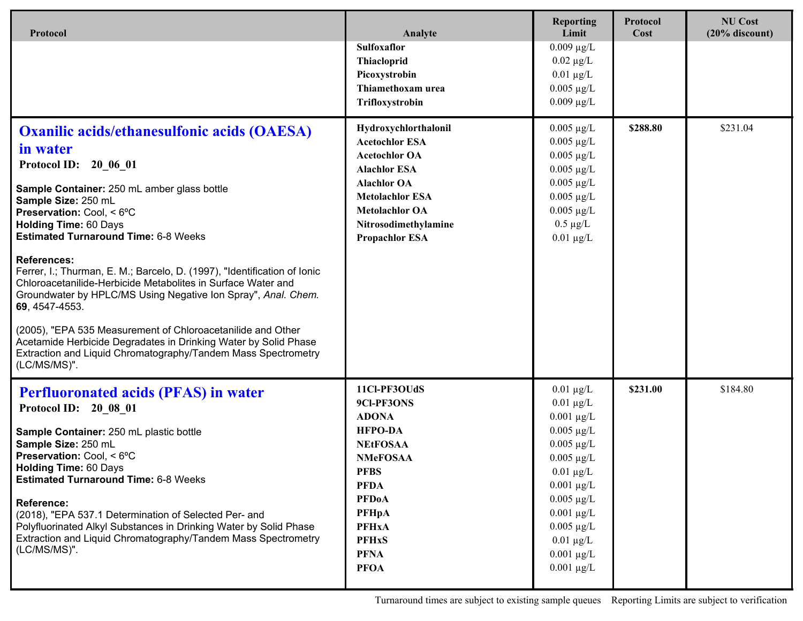| Protocol                                                                                                                                                                                                                                                                                                                                                                                                                                                                                                                                                                                                                                                                                                                                             | Analyte                                                                                                                                                                                                                        | <b>Reporting</b><br>Limit                                                                                                                                                                                                                                              | Protocol<br>Cost | <b>NU Cost</b><br>$(20%$ discount) |
|------------------------------------------------------------------------------------------------------------------------------------------------------------------------------------------------------------------------------------------------------------------------------------------------------------------------------------------------------------------------------------------------------------------------------------------------------------------------------------------------------------------------------------------------------------------------------------------------------------------------------------------------------------------------------------------------------------------------------------------------------|--------------------------------------------------------------------------------------------------------------------------------------------------------------------------------------------------------------------------------|------------------------------------------------------------------------------------------------------------------------------------------------------------------------------------------------------------------------------------------------------------------------|------------------|------------------------------------|
|                                                                                                                                                                                                                                                                                                                                                                                                                                                                                                                                                                                                                                                                                                                                                      | Sulfoxaflor<br>Thiacloprid<br>Picoxystrobin<br>Thiamethoxam urea<br>Trifloxystrobin                                                                                                                                            | $0.009 \mu g/L$<br>$0.02 \mu g/L$<br>$0.01 \mu g/L$<br>$0.005 \mu g/L$<br>$0.009 \mu g/L$                                                                                                                                                                              |                  |                                    |
| <b>Oxanilic acids/ethanesulfonic acids (OAESA)</b><br>in water<br>Protocol ID: 20 06 01<br>Sample Container: 250 mL amber glass bottle<br>Sample Size: 250 mL<br>Preservation: Cool, < 6°C<br><b>Holding Time: 60 Days</b><br><b>Estimated Turnaround Time: 6-8 Weeks</b><br><b>References:</b><br>Ferrer, I.; Thurman, E. M.; Barcelo, D. (1997), "Identification of Ionic<br>Chloroacetanilide-Herbicide Metabolites in Surface Water and<br>Groundwater by HPLC/MS Using Negative Ion Spray", Anal. Chem.<br>69, 4547-4553.<br>(2005), "EPA 535 Measurement of Chloroacetanilide and Other<br>Acetamide Herbicide Degradates in Drinking Water by Solid Phase<br>Extraction and Liquid Chromatography/Tandem Mass Spectrometry<br>$(LC/MS/MS)$ ". | Hydroxychlorthalonil<br><b>Acetochlor ESA</b><br><b>Acetochlor OA</b><br><b>Alachlor ESA</b><br><b>Alachlor OA</b><br><b>Metolachlor ESA</b><br><b>Metolachlor OA</b><br>Nitrosodimethylamine<br><b>Propachlor ESA</b>         | $0.005 \ \mu g/L$<br>$0.005 \mu g/L$<br>$0.005 \mu g/L$<br>$0.005 \mu g/L$<br>$0.005 \mu g/L$<br>$0.005 \mu g/L$<br>$0.005 \mu g/L$<br>$0.5 \mu g/L$<br>$0.01 \mu g/L$                                                                                                 | \$288.80         | \$231.04                           |
| <b>Perfluoronated acids (PFAS) in water</b><br>Protocol ID: 20 08 01<br>Sample Container: 250 mL plastic bottle<br>Sample Size: 250 mL<br>Preservation: Cool, < 6°C<br><b>Holding Time: 60 Days</b><br><b>Estimated Turnaround Time: 6-8 Weeks</b><br><b>Reference:</b><br>(2018), "EPA 537.1 Determination of Selected Per- and<br>Polyfluorinated Alkyl Substances in Drinking Water by Solid Phase<br>Extraction and Liquid Chromatography/Tandem Mass Spectrometry<br>(LC/MS/MS)".                                                                                                                                                                                                                                                               | 11Cl-PF3OUdS<br>9Cl-PF3ONS<br><b>ADONA</b><br><b>HFPO-DA</b><br><b>NEtFOSAA</b><br><b>NMeFOSAA</b><br><b>PFBS</b><br><b>PFDA</b><br><b>PFDoA</b><br><b>PFHpA</b><br><b>PFHxA</b><br><b>PFHxS</b><br><b>PFNA</b><br><b>PFOA</b> | $0.01 \mu g/L$<br>$0.01 \mu g/L$<br>$0.001 \mu g/L$<br>$0.005 \mu g/L$<br>$0.005 \mu g/L$<br>$0.005 \mu g/L$<br>$0.01 \mu g/L$<br>$0.001 \mu g/L$<br>$0.005 \ \mu g/L$<br>$0.001 \mu g/L$<br>$0.005 \mu g/L$<br>$0.01 \ \mu g/L$<br>$0.001 \mu g/L$<br>$0.001 \mu g/L$ | \$231.00         | \$184.80                           |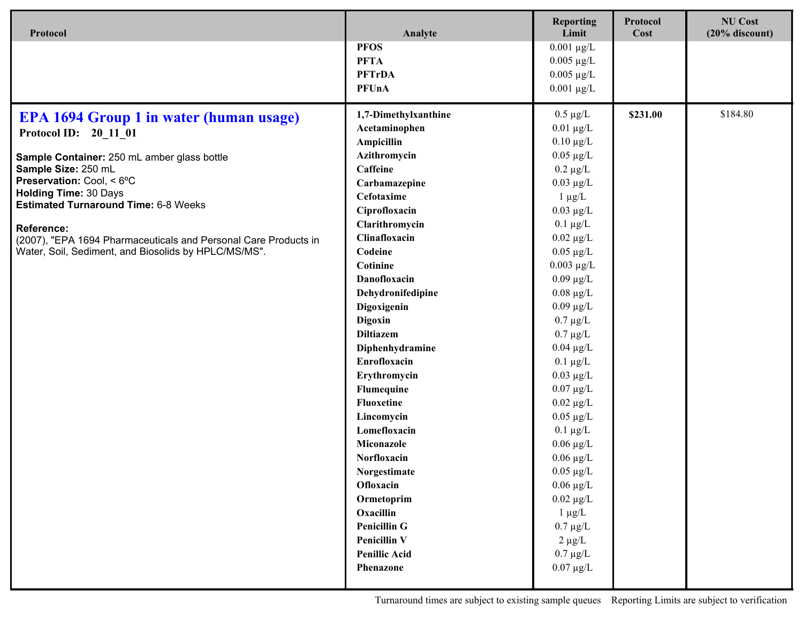| Protocol                                                                                                                | Analyte                         | <b>Reporting</b><br>Limit     | Protocol<br>Cost | <b>NU Cost</b><br>$(20%$ discount) |
|-------------------------------------------------------------------------------------------------------------------------|---------------------------------|-------------------------------|------------------|------------------------------------|
|                                                                                                                         | <b>PFOS</b>                     | $0.001 \mu g/L$               |                  |                                    |
|                                                                                                                         | <b>PFTA</b>                     | $0.005 \ \mu g/L$             |                  |                                    |
|                                                                                                                         | <b>PFTrDA</b>                   | $0.005 \ \mu g/L$             |                  |                                    |
|                                                                                                                         | <b>PFUnA</b>                    | $0.001 \mu g/L$               |                  |                                    |
|                                                                                                                         |                                 |                               | \$231.00         | \$184.80                           |
| <b>EPA 1694 Group 1 in water (human usage)</b>                                                                          | 1,7-Dimethylxanthine            | $0.5 \mu g/L$                 |                  |                                    |
| Protocol ID: 20 11 01                                                                                                   | Acetaminophen                   | $0.01 \mu g/L$                |                  |                                    |
|                                                                                                                         | Ampicillin                      | $0.10 \mu g/L$                |                  |                                    |
| Sample Container: 250 mL amber glass bottle<br>Sample Size: 250 mL                                                      | Azithromycin<br>Caffeine        | $0.05 \mu g/L$                |                  |                                    |
| Preservation: Cool, < 6°C                                                                                               |                                 | $0.2 \mu g/L$                 |                  |                                    |
| <b>Holding Time: 30 Days</b>                                                                                            | Carbamazepine                   | $0.03 \mu g/L$                |                  |                                    |
| <b>Estimated Turnaround Time: 6-8 Weeks</b>                                                                             | Cefotaxime                      | $1 \mu g/L$<br>$0.03 \mu g/L$ |                  |                                    |
|                                                                                                                         | Ciprofloxacin                   |                               |                  |                                    |
| <b>Reference:</b>                                                                                                       | Clarithromycin<br>Clinafloxacin | $0.1 \mu g/L$                 |                  |                                    |
| (2007), "EPA 1694 Pharmaceuticals and Personal Care Products in<br>Water, Soil, Sediment, and Biosolids by HPLC/MS/MS". |                                 | $0.02 \mu g/L$                |                  |                                    |
|                                                                                                                         | Codeine<br>Cotinine             | $0.05 \mu g/L$                |                  |                                    |
|                                                                                                                         |                                 | $0.003 \mu g/L$               |                  |                                    |
|                                                                                                                         | Danofloxacin                    | $0.09 \mu g/L$                |                  |                                    |
|                                                                                                                         | Dehydronifedipine               | $0.08 \mu g/L$                |                  |                                    |
|                                                                                                                         | Digoxigenin                     | $0.09 \mu g/L$                |                  |                                    |
|                                                                                                                         | Digoxin                         | $0.7 \mu g/L$                 |                  |                                    |
|                                                                                                                         | <b>Diltiazem</b>                | $0.7 \mu g/L$                 |                  |                                    |
|                                                                                                                         | Diphenhydramine                 | $0.04 \mu g/L$                |                  |                                    |
|                                                                                                                         | Enrofloxacin                    | $0.1 \mu g/L$                 |                  |                                    |
|                                                                                                                         | Erythromycin                    | $0.03 \mu g/L$                |                  |                                    |
|                                                                                                                         | Flumequine                      | $0.07 \mu g/L$                |                  |                                    |
|                                                                                                                         | <b>Fluoxetine</b>               | $0.02 \ \mu g/L$              |                  |                                    |
|                                                                                                                         | Lincomycin                      | $0.05 \ \mu g/L$              |                  |                                    |
|                                                                                                                         | Lomefloxacin                    | $0.1 \mu g/L$                 |                  |                                    |
|                                                                                                                         | Miconazole                      | $0.06 \mu g/L$                |                  |                                    |
|                                                                                                                         | Norfloxacin                     | $0.06 \mu g/L$                |                  |                                    |
|                                                                                                                         | Norgestimate                    | $0.05 \mu g/L$                |                  |                                    |
|                                                                                                                         | Ofloxacin                       | $0.06 \mu g/L$                |                  |                                    |
|                                                                                                                         | Ormetoprim                      | $0.02 \ \mu g/L$              |                  |                                    |
|                                                                                                                         | Oxacillin                       | $1 \mu g/L$                   |                  |                                    |
|                                                                                                                         | <b>Penicillin G</b>             | $0.7 \mu g/L$                 |                  |                                    |
|                                                                                                                         | <b>Penicillin V</b>             | $2 \mu g/L$                   |                  |                                    |
|                                                                                                                         | <b>Penillic Acid</b>            | $0.7 \mu g/L$                 |                  |                                    |
|                                                                                                                         | Phenazone                       | $0.07 \ \mu g/L$              |                  |                                    |
|                                                                                                                         |                                 |                               |                  |                                    |

Turnaround times are subject to existing sample queues Reporting Limits are subject to verification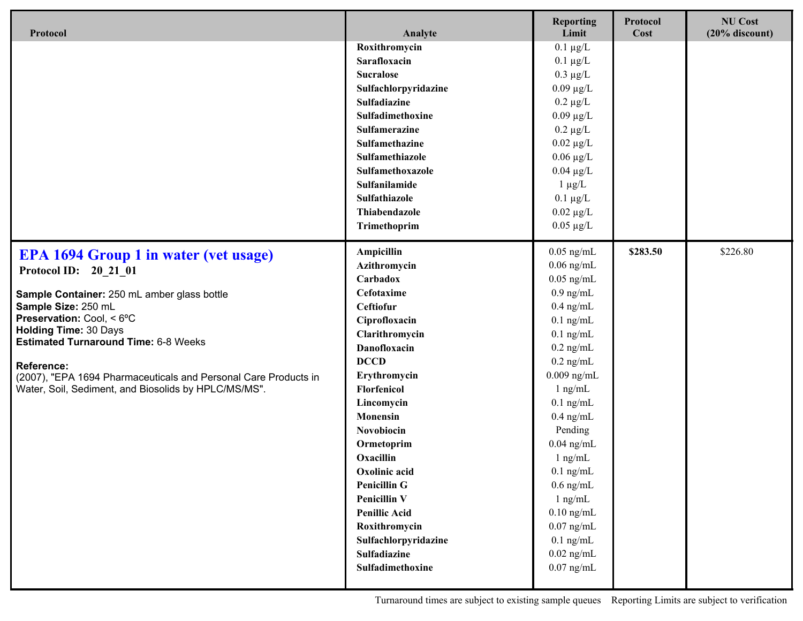| Protocol                                                                    | Analyte              | <b>Reporting</b><br>Limit | Protocol<br>Cost | <b>NU Cost</b><br>$(20%$ discount) |
|-----------------------------------------------------------------------------|----------------------|---------------------------|------------------|------------------------------------|
|                                                                             | Roxithromycin        | $0.1 \mu g/L$             |                  |                                    |
|                                                                             | Sarafloxacin         | $0.1 \mu g/L$             |                  |                                    |
|                                                                             | <b>Sucralose</b>     | $0.3 \mu g/L$             |                  |                                    |
|                                                                             | Sulfachlorpyridazine | $0.09 \mu g/L$            |                  |                                    |
|                                                                             | Sulfadiazine         | $0.2 \mu g/L$             |                  |                                    |
|                                                                             | Sulfadimethoxine     | $0.09 \mu g/L$            |                  |                                    |
|                                                                             | <b>Sulfamerazine</b> | $0.2 \mu g/L$             |                  |                                    |
|                                                                             | Sulfamethazine       | $0.02 \mu g/L$            |                  |                                    |
|                                                                             | Sulfamethiazole      | $0.06 \mu g/L$            |                  |                                    |
|                                                                             | Sulfamethoxazole     | $0.04 \mu g/L$            |                  |                                    |
|                                                                             | Sulfanilamide        | $1 \mu g/L$               |                  |                                    |
|                                                                             | Sulfathiazole        | $0.1 \mu g/L$             |                  |                                    |
|                                                                             | Thiabendazole        | $0.02 \ \mu g/L$          |                  |                                    |
|                                                                             | Trimethoprim         | $0.05 \mu g/L$            |                  |                                    |
| <b>EPA 1694 Group 1 in water (vet usage)</b>                                | Ampicillin           | $0.05$ ng/mL              | \$283.50         | \$226.80                           |
| Protocol ID: 20 21 01                                                       | Azithromycin         | $0.06$ ng/mL              |                  |                                    |
|                                                                             | Carbadox             | $0.05$ ng/mL              |                  |                                    |
| Sample Container: 250 mL amber glass bottle                                 | Cefotaxime           | $0.9$ ng/mL               |                  |                                    |
| Sample Size: 250 mL                                                         | Ceftiofur            | $0.4$ ng/mL               |                  |                                    |
| Preservation: Cool, < 6°C                                                   | Ciprofloxacin        | $0.1$ ng/mL               |                  |                                    |
| <b>Holding Time: 30 Days</b><br><b>Estimated Turnaround Time: 6-8 Weeks</b> | Clarithromycin       | $0.1$ ng/mL               |                  |                                    |
|                                                                             | <b>Danofloxacin</b>  | $0.2$ ng/mL               |                  |                                    |
| <b>Reference:</b>                                                           | <b>DCCD</b>          | $0.2$ ng/mL               |                  |                                    |
| (2007), "EPA 1694 Pharmaceuticals and Personal Care Products in             | Erythromycin         | $0.009$ ng/mL             |                  |                                    |
| Water, Soil, Sediment, and Biosolids by HPLC/MS/MS".                        | Florfenicol          | $1$ ng/mL                 |                  |                                    |
|                                                                             | Lincomycin           | $0.1$ ng/mL               |                  |                                    |
|                                                                             | <b>Monensin</b>      | $0.4$ ng/mL               |                  |                                    |
|                                                                             | Novobiocin           | Pending                   |                  |                                    |
|                                                                             | Ormetoprim           | $0.04$ ng/mL              |                  |                                    |
|                                                                             | Oxacillin            | $1$ ng/mL                 |                  |                                    |
|                                                                             | Oxolinic acid        | $0.1$ ng/mL               |                  |                                    |
|                                                                             | <b>Penicillin G</b>  | $0.6$ ng/mL               |                  |                                    |
|                                                                             | <b>Penicillin V</b>  | $1$ ng/mL                 |                  |                                    |
|                                                                             | <b>Penillic Acid</b> | $0.10$ ng/mL              |                  |                                    |
|                                                                             | Roxithromycin        | $0.07$ ng/mL              |                  |                                    |
|                                                                             | Sulfachlorpyridazine | $0.1$ ng/mL               |                  |                                    |
|                                                                             | Sulfadiazine         | $0.02~\mathrm{ng/mL}$     |                  |                                    |
|                                                                             | Sulfadimethoxine     | $0.07$ ng/mL              |                  |                                    |
|                                                                             |                      |                           |                  |                                    |